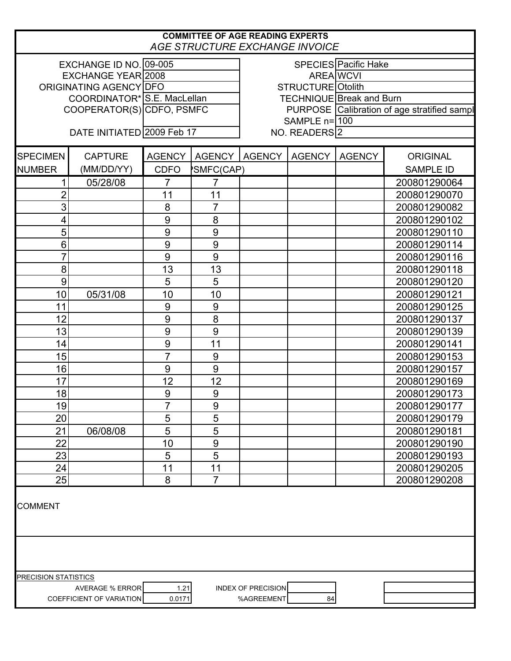| <b>COMMITTEE OF AGE READING EXPERTS</b><br><b>AGE STRUCTURE EXCHANGE INVOICE</b> |                            |                  |                |                                                                                                  |               |               |                  |  |
|----------------------------------------------------------------------------------|----------------------------|------------------|----------------|--------------------------------------------------------------------------------------------------|---------------|---------------|------------------|--|
| EXCHANGE ID NO. 09-005<br>EXCHANGE YEAR 2008<br>ORIGINATING AGENCY IDFO          |                            |                  |                | SPECIES Pacific Hake<br>AREA WCVI<br>STRUCTURE Otolith                                           |               |               |                  |  |
| COORDINATOR* S.E. MacLellan<br>COOPERATOR(S) CDFO, PSMFC                         |                            |                  |                | <b>TECHNIQUE</b> Break and Burn<br>PURPOSE Calibration of age stratified sampl<br>SAMPLE $n=100$ |               |               |                  |  |
|                                                                                  | DATE INITIATED 2009 Feb 17 | NO. READERS 2    |                |                                                                                                  |               |               |                  |  |
| <b>SPECIMEN</b>                                                                  | <b>CAPTURE</b>             | <b>AGENCY</b>    | <b>AGENCY</b>  | <b>AGENCY</b>                                                                                    | <b>AGENCY</b> | <b>AGENCY</b> | <b>ORIGINAL</b>  |  |
| <b>NUMBER</b>                                                                    | (MM/DD/YY)                 | <b>CDFO</b>      | SMFC(CAP)      |                                                                                                  |               |               | <b>SAMPLE ID</b> |  |
| 1                                                                                | 05/28/08                   | $\overline{7}$   | $\overline{7}$ |                                                                                                  |               |               | 200801290064     |  |
| $\overline{2}$                                                                   |                            | 11               | 11             |                                                                                                  |               |               | 200801290070     |  |
| $\overline{3}$                                                                   |                            | 8                | $\overline{7}$ |                                                                                                  |               |               | 200801290082     |  |
| $\overline{\mathbf{4}}$                                                          |                            | 9                | 8              |                                                                                                  |               |               | 200801290102     |  |
| 5                                                                                |                            | 9                | 9              |                                                                                                  |               |               | 200801290110     |  |
| 6                                                                                |                            | 9                | 9              |                                                                                                  |               |               | 200801290114     |  |
| 7                                                                                |                            | 9                | 9              |                                                                                                  |               |               | 200801290116     |  |
| 8                                                                                |                            | 13               | 13             |                                                                                                  |               |               | 200801290118     |  |
| 9                                                                                |                            | 5                | 5              |                                                                                                  |               |               | 200801290120     |  |
| 10                                                                               | 05/31/08                   | 10               | 10             |                                                                                                  |               |               | 200801290121     |  |
| 11                                                                               |                            | $\boldsymbol{9}$ | $9$            |                                                                                                  |               |               | 200801290125     |  |
| 12                                                                               |                            | 9                | 8              |                                                                                                  |               |               | 200801290137     |  |
| 13                                                                               |                            | 9                | 9              |                                                                                                  |               |               | 200801290139     |  |
| 14                                                                               |                            | 9                | 11             |                                                                                                  |               |               | 200801290141     |  |
| 15                                                                               |                            | $\overline{7}$   | 9              |                                                                                                  |               |               | 200801290153     |  |
| 16                                                                               |                            | 9                | 9              |                                                                                                  |               |               | 200801290157     |  |
| 17                                                                               |                            | 12               | 12             |                                                                                                  |               |               | 200801290169     |  |
| 18                                                                               |                            | 9                | 9              |                                                                                                  |               |               | 200801290173     |  |
| 19                                                                               |                            | 7                | 9              |                                                                                                  |               |               | 200801290177     |  |
| 20                                                                               |                            | 5                | 5              |                                                                                                  |               |               | 200801290179     |  |
| 21                                                                               | 06/08/08                   | 5                | 5              |                                                                                                  |               |               | 200801290181     |  |
| 22                                                                               |                            | 10               | $9$            |                                                                                                  |               |               | 200801290190     |  |
| 23                                                                               |                            | 5                | 5              |                                                                                                  |               |               | 200801290193     |  |
| 24                                                                               |                            | 11               | 11             |                                                                                                  |               |               | 200801290205     |  |
| 25                                                                               |                            | 8                | $\overline{7}$ |                                                                                                  |               |               | 200801290208     |  |
| <b>COMMENT</b>                                                                   |                            |                  |                |                                                                                                  |               |               |                  |  |
|                                                                                  |                            |                  |                |                                                                                                  |               |               |                  |  |
| <b>PRECISION STATISTICS</b>                                                      | <b>AVERAGE % ERROR</b>     | 1.21             |                | <b>INDEX OF PRECISION</b>                                                                        |               |               |                  |  |
|                                                                                  | COEFFICIENT OF VARIATION   | 0.0171           |                | %AGREEMENT                                                                                       | 84            |               |                  |  |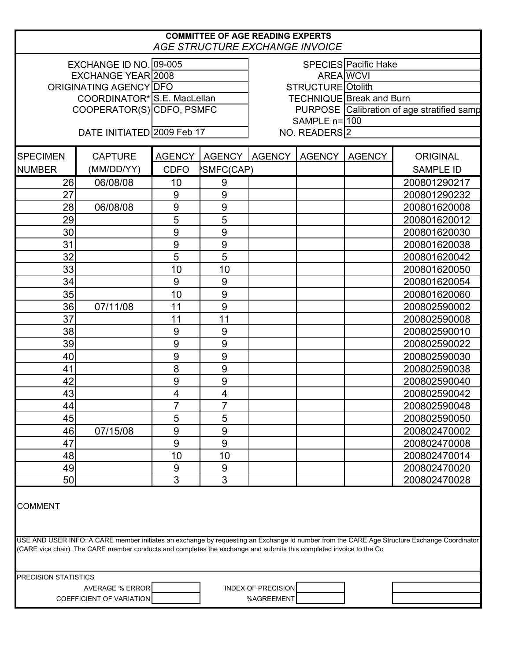|                                                                                                                                                                                                                                                                                      |                             |                          | <b>COMMITTEE OF AGE READING EXPERTS</b><br>AGE STRUCTURE EXCHANGE INVOICE |                                            |               |               |                  |  |
|--------------------------------------------------------------------------------------------------------------------------------------------------------------------------------------------------------------------------------------------------------------------------------------|-----------------------------|--------------------------|---------------------------------------------------------------------------|--------------------------------------------|---------------|---------------|------------------|--|
| EXCHANGE ID NO. 09-005<br><b>SPECIES Pacific Hake</b>                                                                                                                                                                                                                                |                             |                          |                                                                           |                                            |               |               |                  |  |
|                                                                                                                                                                                                                                                                                      | <b>EXCHANGE YEAR 2008</b>   |                          |                                                                           |                                            |               | AREA WCVI     |                  |  |
| ORIGINATING AGENCY DFO                                                                                                                                                                                                                                                               |                             | <b>STRUCTURE Otolith</b> |                                                                           |                                            |               |               |                  |  |
|                                                                                                                                                                                                                                                                                      | COORDINATOR* S.E. MacLellan |                          |                                                                           | <b>TECHNIQUE Break and Burn</b>            |               |               |                  |  |
|                                                                                                                                                                                                                                                                                      | COOPERATOR(S) CDFO, PSMFC   |                          |                                                                           | PURPOSE Calibration of age stratified samp |               |               |                  |  |
|                                                                                                                                                                                                                                                                                      |                             |                          |                                                                           | SAMPLE n=100                               |               |               |                  |  |
|                                                                                                                                                                                                                                                                                      | DATE INITIATED 2009 Feb 17  |                          |                                                                           |                                            | NO. READERS 2 |               |                  |  |
| <b>SPECIMEN</b>                                                                                                                                                                                                                                                                      | <b>CAPTURE</b>              | <b>AGENCY</b>            | AGENCY                                                                    | <b>AGENCY</b>                              | <b>AGENCY</b> | <b>AGENCY</b> | <b>ORIGINAL</b>  |  |
| <b>NUMBER</b>                                                                                                                                                                                                                                                                        | (MM/DD/YY)                  | <b>CDFO</b>              | <b>SMFC(CAP)</b>                                                          |                                            |               |               | <b>SAMPLE ID</b> |  |
| 26                                                                                                                                                                                                                                                                                   | 06/08/08                    | 10                       | 9                                                                         |                                            |               |               | 200801290217     |  |
| 27                                                                                                                                                                                                                                                                                   |                             | 9                        | 9                                                                         |                                            |               |               | 200801290232     |  |
| 28                                                                                                                                                                                                                                                                                   | 06/08/08                    | 9                        | 9                                                                         |                                            |               |               | 200801620008     |  |
| 29                                                                                                                                                                                                                                                                                   |                             | 5                        | 5                                                                         |                                            |               |               | 200801620012     |  |
| 30                                                                                                                                                                                                                                                                                   |                             | 9                        | 9                                                                         |                                            |               |               | 200801620030     |  |
| 31                                                                                                                                                                                                                                                                                   |                             | 9                        | 9                                                                         |                                            |               |               | 200801620038     |  |
| 32                                                                                                                                                                                                                                                                                   |                             | 5                        | 5                                                                         |                                            |               |               | 200801620042     |  |
| 33                                                                                                                                                                                                                                                                                   |                             | 10                       | 10                                                                        |                                            |               |               | 200801620050     |  |
| 34                                                                                                                                                                                                                                                                                   |                             | 9                        | 9                                                                         |                                            |               |               | 200801620054     |  |
| 35                                                                                                                                                                                                                                                                                   |                             | 10                       | 9                                                                         |                                            |               |               | 200801620060     |  |
| 36                                                                                                                                                                                                                                                                                   | 07/11/08                    | 11                       | 9                                                                         |                                            |               |               | 200802590002     |  |
| 37                                                                                                                                                                                                                                                                                   |                             | 11                       | 11                                                                        |                                            |               |               | 200802590008     |  |
| 38                                                                                                                                                                                                                                                                                   |                             | $9$                      | 9                                                                         |                                            |               |               | 200802590010     |  |
| 39                                                                                                                                                                                                                                                                                   |                             | $9$                      | 9                                                                         |                                            |               |               | 200802590022     |  |
| 40                                                                                                                                                                                                                                                                                   |                             | 9                        | 9                                                                         |                                            |               |               | 200802590030     |  |
| 41                                                                                                                                                                                                                                                                                   |                             | 8                        | 9                                                                         |                                            |               |               | 200802590038     |  |
| 42                                                                                                                                                                                                                                                                                   |                             | 9                        | 9                                                                         |                                            |               |               | 200802590040     |  |
| 43                                                                                                                                                                                                                                                                                   |                             | $\overline{\mathbf{4}}$  | $\overline{\mathbf{4}}$                                                   |                                            |               |               | 200802590042     |  |
| 44                                                                                                                                                                                                                                                                                   |                             |                          | 7                                                                         |                                            |               |               | 200802590048     |  |
| 45                                                                                                                                                                                                                                                                                   |                             | 5                        | 5                                                                         |                                            |               |               | 200802590050     |  |
| 46                                                                                                                                                                                                                                                                                   | 07/15/08                    | 9                        | 9                                                                         |                                            |               |               | 200802470002     |  |
| 47                                                                                                                                                                                                                                                                                   |                             | 9                        | 9                                                                         |                                            |               |               | 200802470008     |  |
| 48                                                                                                                                                                                                                                                                                   |                             | 10                       | 10                                                                        |                                            |               |               | 200802470014     |  |
| 49                                                                                                                                                                                                                                                                                   |                             | 9                        | 9                                                                         |                                            |               |               | 200802470020     |  |
| 50                                                                                                                                                                                                                                                                                   |                             | 3                        | 3                                                                         |                                            |               |               | 200802470028     |  |
| <b>COMMENT</b><br>USE AND USER INFO: A CARE member initiates an exchange by requesting an Exchange Id number from the CARE Age Structure Exchange Coordinator<br>(CARE vice chair). The CARE member conducts and completes the exchange and submits this completed invoice to the Co |                             |                          |                                                                           |                                            |               |               |                  |  |
| <b>PRECISION STATISTICS</b>                                                                                                                                                                                                                                                          |                             |                          |                                                                           |                                            |               |               |                  |  |
|                                                                                                                                                                                                                                                                                      | <b>AVERAGE % ERROR</b>      |                          |                                                                           | <b>INDEX OF PRECISION</b>                  |               |               |                  |  |
|                                                                                                                                                                                                                                                                                      | COEFFICIENT OF VARIATION    |                          |                                                                           | %AGREEMENT                                 |               |               |                  |  |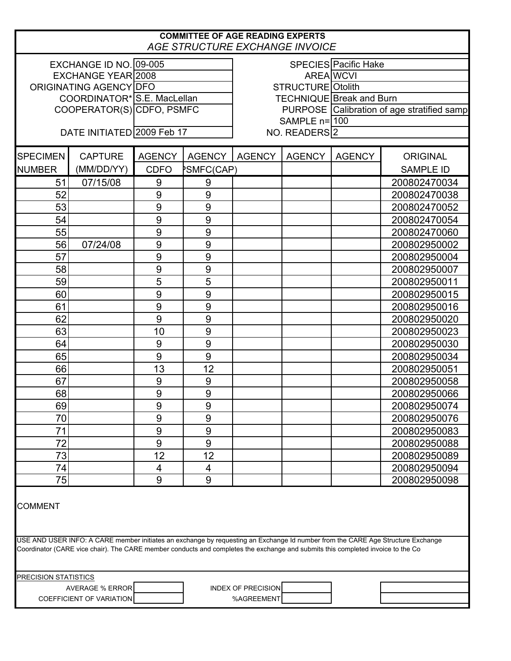| <b>COMMITTEE OF AGE READING EXPERTS</b><br>AGE STRUCTURE EXCHANGE INVOICE                                                                                                                                                                                          |                             |                           |                             |                                            |               |               |                              |  |
|--------------------------------------------------------------------------------------------------------------------------------------------------------------------------------------------------------------------------------------------------------------------|-----------------------------|---------------------------|-----------------------------|--------------------------------------------|---------------|---------------|------------------------------|--|
|                                                                                                                                                                                                                                                                    | EXCHANGE ID NO. 09-005      |                           | <b>SPECIES Pacific Hake</b> |                                            |               |               |                              |  |
|                                                                                                                                                                                                                                                                    | EXCHANGE YEAR 2008          |                           | AREA WCVI                   |                                            |               |               |                              |  |
|                                                                                                                                                                                                                                                                    | ORIGINATING AGENCY DFO      |                           | STRUCTURE Otolith           |                                            |               |               |                              |  |
|                                                                                                                                                                                                                                                                    | COORDINATOR* S.E. MacLellan |                           |                             | <b>TECHNIQUE</b> Break and Burn            |               |               |                              |  |
|                                                                                                                                                                                                                                                                    |                             | COOPERATOR(S) CDFO, PSMFC |                             | PURPOSE Calibration of age stratified samp |               |               |                              |  |
|                                                                                                                                                                                                                                                                    |                             |                           |                             |                                            | SAMPLE n=100  |               |                              |  |
| DATE INITIATED 2009 Feb 17<br>NO. READERS 2                                                                                                                                                                                                                        |                             |                           |                             |                                            |               |               |                              |  |
| <b>SPECIMEN</b>                                                                                                                                                                                                                                                    | <b>CAPTURE</b>              | <b>AGENCY</b>             | <b>AGENCY</b>               | <b>AGENCY</b>                              | <b>AGENCY</b> | <b>AGENCY</b> | <b>ORIGINAL</b>              |  |
| <b>NUMBER</b>                                                                                                                                                                                                                                                      | (MM/DD/YY)                  | <b>CDFO</b>               | <b>PSMFC(CAP)</b>           |                                            |               |               | <b>SAMPLE ID</b>             |  |
| 51                                                                                                                                                                                                                                                                 | 07/15/08                    | 9                         | 9                           |                                            |               |               | 200802470034                 |  |
| 52                                                                                                                                                                                                                                                                 |                             | 9                         | 9                           |                                            |               |               | 200802470038                 |  |
| 53                                                                                                                                                                                                                                                                 |                             | 9                         | 9                           |                                            |               |               | 200802470052                 |  |
| 54                                                                                                                                                                                                                                                                 |                             | 9                         | $9$                         |                                            |               |               | 200802470054                 |  |
| 55                                                                                                                                                                                                                                                                 |                             | 9                         | 9                           |                                            |               |               | 200802470060                 |  |
| 56                                                                                                                                                                                                                                                                 | 07/24/08                    | 9                         | 9                           |                                            |               |               | 200802950002                 |  |
| 57                                                                                                                                                                                                                                                                 |                             | 9                         | 9                           |                                            |               |               | 200802950004                 |  |
| 58                                                                                                                                                                                                                                                                 |                             | 9                         | 9                           |                                            |               |               | 200802950007                 |  |
| 59                                                                                                                                                                                                                                                                 |                             | 5                         | 5                           |                                            |               |               | 200802950011                 |  |
| 60                                                                                                                                                                                                                                                                 |                             | 9                         | 9                           |                                            |               |               | 200802950015                 |  |
| 61                                                                                                                                                                                                                                                                 |                             | 9                         | 9                           |                                            |               |               | 200802950016                 |  |
| 62                                                                                                                                                                                                                                                                 |                             | 9                         | 9                           |                                            |               |               | 200802950020                 |  |
| 63                                                                                                                                                                                                                                                                 |                             | 10                        | 9                           |                                            |               |               | 200802950023                 |  |
| 64                                                                                                                                                                                                                                                                 |                             | 9                         | $9$                         |                                            |               |               | 200802950030                 |  |
| 65                                                                                                                                                                                                                                                                 |                             | 9                         | 9                           |                                            |               |               | 200802950034                 |  |
| 66                                                                                                                                                                                                                                                                 |                             | 13                        | 12                          |                                            |               |               | 200802950051                 |  |
| 67                                                                                                                                                                                                                                                                 |                             | $\overline{9}$            | $\overline{9}$              |                                            |               |               | 200802950058                 |  |
| 68                                                                                                                                                                                                                                                                 |                             | 9                         | 9                           |                                            |               |               | 200802950066                 |  |
| 69                                                                                                                                                                                                                                                                 |                             | 9                         | 9                           |                                            |               |               | 200802950074                 |  |
| 70                                                                                                                                                                                                                                                                 |                             | 9                         | 9                           |                                            |               |               | 200802950076                 |  |
| 71                                                                                                                                                                                                                                                                 |                             | 9                         | 9                           |                                            |               |               | 200802950083                 |  |
| 72                                                                                                                                                                                                                                                                 |                             | 9                         | 9                           |                                            |               |               | 200802950088                 |  |
| 73                                                                                                                                                                                                                                                                 |                             | 12                        | 12                          |                                            |               |               | 200802950089                 |  |
| 74                                                                                                                                                                                                                                                                 |                             |                           |                             |                                            |               |               |                              |  |
| 75                                                                                                                                                                                                                                                                 |                             | 4<br>9                    | 4<br>9                      |                                            |               |               | 200802950094<br>200802950098 |  |
|                                                                                                                                                                                                                                                                    |                             |                           |                             |                                            |               |               |                              |  |
| <b>COMMENT</b>                                                                                                                                                                                                                                                     |                             |                           |                             |                                            |               |               |                              |  |
| USE AND USER INFO: A CARE member initiates an exchange by requesting an Exchange Id number from the CARE Age Structure Exchange<br>Coordinator (CARE vice chair). The CARE member conducts and completes the exchange and submits this completed invoice to the Co |                             |                           |                             |                                            |               |               |                              |  |
| <b>PRECISION STATISTICS</b>                                                                                                                                                                                                                                        |                             |                           |                             |                                            |               |               |                              |  |
|                                                                                                                                                                                                                                                                    | <b>AVERAGE % ERROR</b>      |                           |                             | <b>INDEX OF PRECISION</b>                  |               |               |                              |  |
|                                                                                                                                                                                                                                                                    | COEFFICIENT OF VARIATION    |                           |                             | %AGREEMENT                                 |               |               |                              |  |